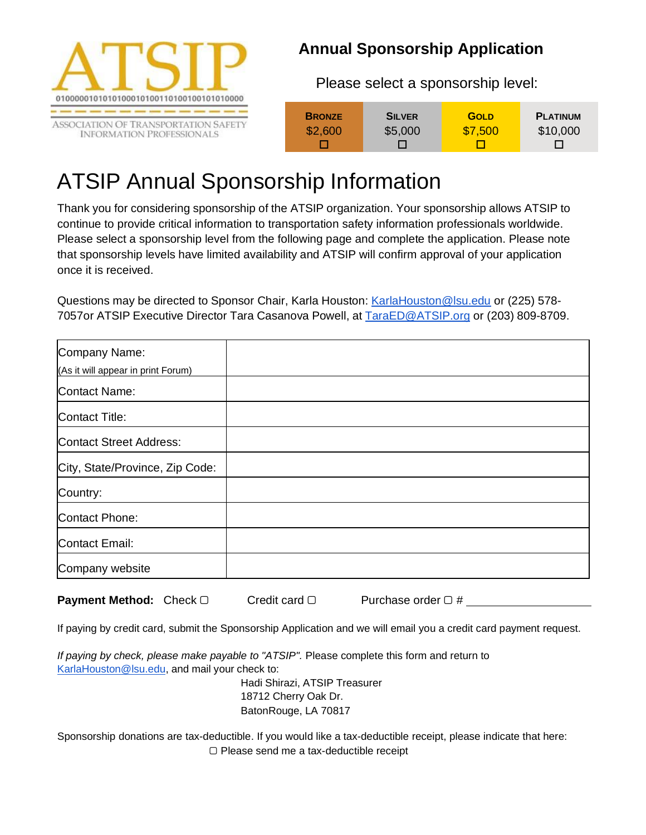

 **Annual Sponsorship Application**

Please select a sponsorship level:

| <b>BRONZE</b> | <b>SILVER</b> | <b>GOLD</b> | <b>PLATINUM</b> |
|---------------|---------------|-------------|-----------------|
| \$2,600       | \$5,000       | \$7,500     | \$10,000        |
|               |               |             | $\mathbf{L}$    |

## ATSIP Annual Sponsorship Information

Thank you for considering sponsorship of the ATSIP organization. Your sponsorship allows ATSIP to continue to provide critical information to transportation safety information professionals worldwide. Please select a sponsorship level from the following page and complete the application. Please note that sponsorship levels have limited availability and ATSIP will confirm approval of your application once it is received.

Questions may be directed to Sponsor Chair, Karla Houston[: KarlaHouston@lsu.edu](mailto:KarlaHouston@lsu.edu) or (225) 578- 7057or ATSIP Executive Director Tara Casanova Powell, at [TaraED@ATSIP.org](mailto:TaraED@ATSIP.org) or (203) 809-8709.

| Company Name:<br>(As it will appear in print Forum) |  |
|-----------------------------------------------------|--|
| <b>Contact Name:</b>                                |  |
| Contact Title:                                      |  |
| <b>Contact Street Address:</b>                      |  |
| City, State/Province, Zip Code:                     |  |
| Country:                                            |  |
| Contact Phone:                                      |  |
| <b>Contact Email:</b>                               |  |
| Company website                                     |  |

**Payment Method:** Check □ Credit card □ Purchase order □ #

If paying by credit card, submit the Sponsorship Application and we will email you a credit card payment request.

*If paying by check, please make payable to "ATSIP".* Please complete this form and return to [KarlaHouston@lsu.edu,](mailto:KarlaHouston@lsu.edu) and mail your check to:

> Hadi Shirazi, ATSIP Treasurer 18712 Cherry Oak Dr. BatonRouge, LA 70817

Sponsorship donations are tax-deductible. If you would like a tax-deductible receipt, please indicate that here: ▢ Please send me a tax-deductible receipt